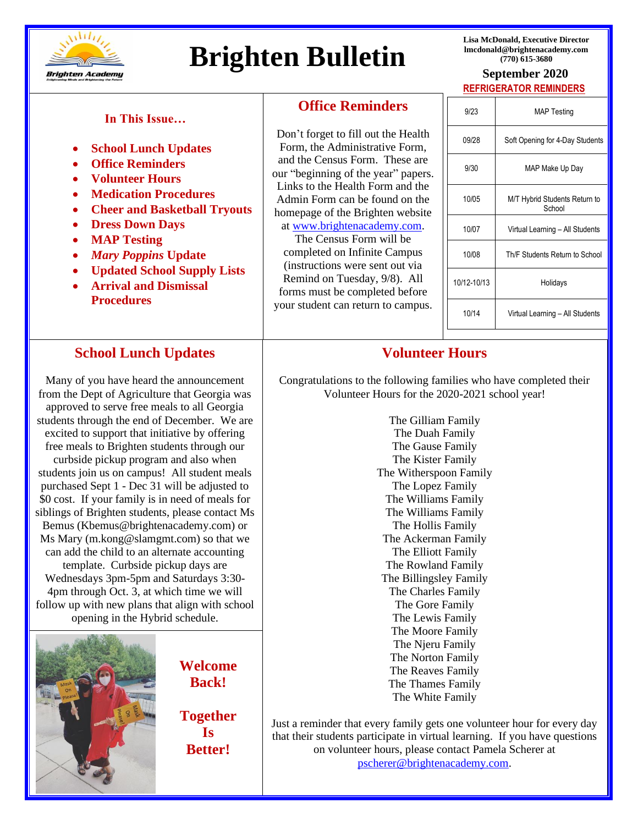

# **Brighten Bulletin CONSTRANGLER BULLET SEPTEMBER 2020**

**Lisa McDonald, Executive Director lmcdonald@brightenacademy.com**

# **REFRIGERATOR REMINDERS**

#### **In This Issue…**

- **School Lunch Updates**
- **Office Reminders**
- **Volunteer Hours**
- **Medication Procedures**
- **Cheer and Basketball Tryouts**
- **Dress Down Days**
- **MAP Testing**
- *Mary Poppins* **Update**
- **Updated School Supply Lists**
- **Arrival and Dismissal Procedures**

### **School Lunch Updates**

*curbside pickup program and also when* Many of you have heard the announcement from the Dept of Agriculture that Georgia was approved to serve free meals to all Georgia students through the end of December. We are excited to support that initiative by offering free meals to Brighten students through our students join us on campus! All student meals purchased Sept 1 - Dec 31 will be adjusted to \$0 cost. If your family is in need of meals for siblings of Brighten students, please contact Ms Bemus (Kbemus@brightenacademy.com) or Ms Mary (m.kong@slamgmt.com) so that we can add the child to an alternate accounting template. Curbside pickup days are Wednesdays 3pm-5pm and Saturdays 3:30- 4pm through Oct. 3, at which time we will follow up with new plans that align with school opening in the Hybrid schedule.



**Welcome Welcome back! Back!**

**Together Together is Is Better! Better!**

#### **Office Reminders**

u<br>L Don't fo Form. and the our "beg Links to Admin homepa at www

 $The$ completed on Infinite Campus (instructions were sent out via Remind on Tuesday, 9/8). All

| orget to fill out the Health<br>the Administrative Form,                                       |   |
|------------------------------------------------------------------------------------------------|---|
| <b>Census Form.</b> These are<br>inning of the year" papers.                                   | ā |
| o the Health Form and the<br>Form can be found on the<br>ge of the Brighten website            |   |
| w.brightenacademy.com.<br>e Census Form will be                                                |   |
| $1 \leq i \leq 1 \leq \ldots \leq T$ . $C^* \cup \{i \leq C\}$ , $C^* \cup \ldots \cup \ldots$ |   |

forms must be completed before your student can return to campus.

| 9/23        | <b>MAP Testing</b>                      |  |
|-------------|-----------------------------------------|--|
| 09/28       | Soft Opening for 4-Day Students         |  |
| 9/30        | MAP Make Up Day                         |  |
| 10/05       | M/T Hybrid Students Return to<br>School |  |
| 10/07       | Virtual Learning - All Students         |  |
| 10/08       | Th/F Students Return to School          |  |
| 10/12-10/13 | Holidays                                |  |
| 10/14       | Virtual Learning - All Students         |  |
|             |                                         |  |
|             |                                         |  |

# **Volunteer Hours**

Congratulations to the following families who have completed their Volunteer Hours for the 2020-2021 school year!

> The Gilliam Family The Duah Family The Gause Family The Kister Family The Witherspoon Family The Lopez Family The Williams Family The Williams Family The Hollis Family The Ackerman Family The Elliott Family The Rowland Family The Billingsley Family The Charles Family The Gore Family The Lewis Family The Moore Family The Njeru Family The Norton Family The Reaves Family The Thames Family The White Family

Just a reminder that every family gets one volunteer hour for every day that their students participate in virtual learning. If you have questions on volunteer hours, please contact Pamela Scherer at [pscherer@brightenacademy.com.](mailto:pscherer@brightenacademy.com)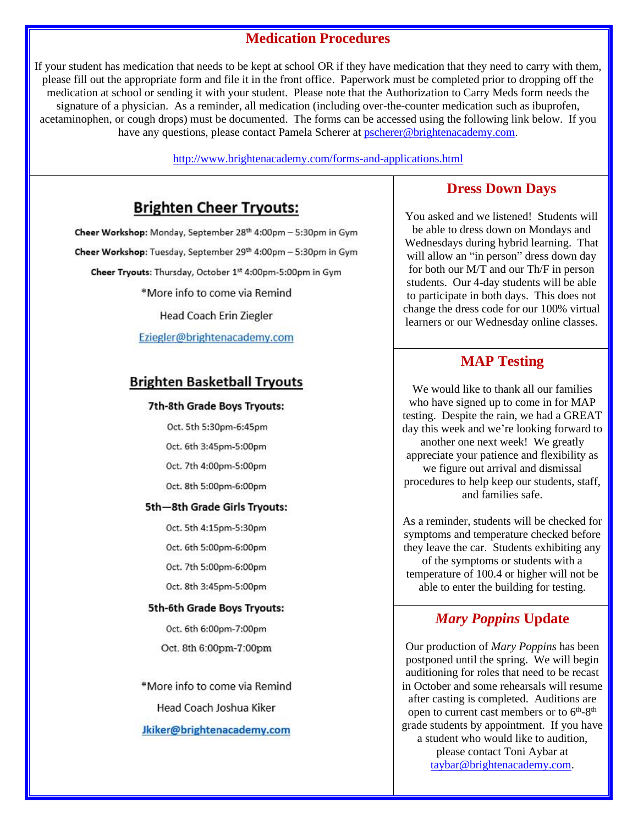# **Medication Procedures**

If your student has medication that needs to be kept at school OR if they have medication that they need to carry with them, please fill out the appropriate form and file it in the front office. Paperwork must be completed prior to dropping off the medication at school or sending it with your student. Please note that the Authorization to Carry Meds form needs the signature of a physician. As a reminder, all medication (including over-the-counter medication such as ibuprofen, acetaminophen, or cough drops) must be documented. The forms can be accessed using the following link below. If you have any questions, please contact Pamela Scherer at [pscherer@brightenacademy.com.](mailto:pscherer@brightenacademy.com)

<http://www.brightenacademy.com/forms-and-applications.html>

# **Brighten Cheer Tryouts:**

Cheer Workshop: Monday, September 28th 4:00pm - 5:30pm in Gym Cheer Workshop: Tuesday, September 29th 4:00pm - 5:30pm in Gym Cheer Tryouts: Thursday, October 1st 4:00pm-5:00pm in Gym \*More info to come via Remind Head Coach Erin Ziegler Eziegler@brightenacademy.com

#### **Brighten Basketball Tryouts**

#### 7th-8th Grade Boys Tryouts:

- Oct. 5th 5:30pm-6:45pm
- Oct. 6th 3:45pm-5:00pm
- Oct. 7th 4:00pm-5:00pm
- Oct. 8th 5:00pm-6:00pm

#### 5th-8th Grade Girls Tryouts:

- Oct. 5th 4:15pm-5:30pm
- Oct. 6th 5:00pm-6:00pm
- Oct. 7th 5:00pm-6:00pm
- Oct. 8th 3:45pm-5:00pm

#### 5th-6th Grade Boys Tryouts:

Oct. 6th 6:00pm-7:00pm Oct. 8th 6:00pm-7:00pm

\*More info to come via Remind Head Coach Joshua Kiker Jkiker@brightenacademy.com

#### **Dress Down Days**

You asked and we listened! Students will be able to dress down on Mondays and Wednesdays during hybrid learning. That will allow an "in person" dress down day for both our M/T and our Th/F in person students. Our 4-day students will be able to participate in both days. This does not change the dress code for our 100% virtual learners or our Wednesday online classes.

# **MAP Testing**

We would like to thank all our families who have signed up to come in for MAP testing. Despite the rain, we had a GREAT day this week and we're looking forward to another one next week! We greatly appreciate your patience and flexibility as we figure out arrival and dismissal procedures to help keep our students, staff, and families safe.

As a reminder, students will be checked for symptoms and temperature checked before they leave the car. Students exhibiting any of the symptoms or students with a temperature of 100.4 or higher will not be able to enter the building for testing.

### *Mary Poppins* **Update**

Our production of *Mary Poppins* has been postponed until the spring. We will begin auditioning for roles that need to be recast in October and some rehearsals will resume after casting is completed. Auditions are open to current cast members or to  $6<sup>th</sup>-8<sup>th</sup>$ grade students by appointment. If you have a student who would like to audition, please contact Toni Aybar at [taybar@brightenacademy.com.](mailto:taybar@brightenacademy.com)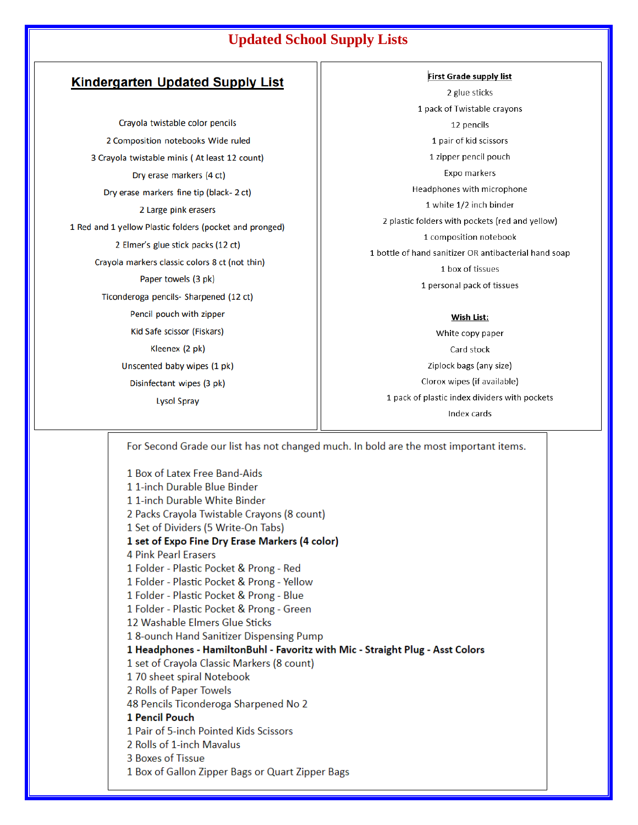# **Updated School Supply Lists**

#### **Kindergarten Updated Supply List**

Crayola twistable color pencils 2 Composition notebooks Wide ruled 3 Crayola twistable minis (At least 12 count) Dry erase markers (4 ct) Dry erase markers fine tip (black-2 ct) 2 Large pink erasers 1 Red and 1 yellow Plastic folders (pocket and pronged) 2 Elmer's glue stick packs (12 ct) Crayola markers classic colors 8 ct (not thin) Paper towels (3 pk) Ticonderoga pencils- Sharpened (12 ct) Pencil pouch with zipper Kid Safe scissor (Fiskars) Kleenex (2 pk) Unscented baby wipes (1 pk) Disinfectant wipes (3 pk) **Lysol Spray** 

**First Grade supply list** 2 glue sticks 1 pack of Twistable crayons 12 pencils 1 pair of kid scissors 1 zipper pencil pouch Expo markers Headphones with microphone 1 white 1/2 inch binder 2 plastic folders with pockets (red and yellow) 1 composition notebook 1 bottle of hand sanitizer OR antibacterial hand soap 1 box of tissues 1 personal pack of tissues

#### Wish List:

White copy paper Card stock Ziplock bags (any size) Clorox wipes (if available) 1 pack of plastic index dividers with pockets Index cards

For Second Grade our list has not changed much. In bold are the most important items.

1 Box of Latex Free Band-Aids 11-inch Durable Blue Binder 11-inch Durable White Binder 2 Packs Crayola Twistable Crayons (8 count) 1 Set of Dividers (5 Write-On Tabs) 1 set of Expo Fine Dry Erase Markers (4 color) **4 Pink Pearl Erasers** 1 Folder - Plastic Pocket & Prong - Red 1 Folder - Plastic Pocket & Prong - Yellow 1 Folder - Plastic Pocket & Prong - Blue 1 Folder - Plastic Pocket & Prong - Green 12 Washable Elmers Glue Sticks 18-ounch Hand Sanitizer Dispensing Pump 1 Headphones - HamiltonBuhl - Favoritz with Mic - Straight Plug - Asst Colors 1 set of Crayola Classic Markers (8 count) 170 sheet spiral Notebook 2 Rolls of Paper Towels 48 Pencils Ticonderoga Sharpened No 2 1 Pencil Pouch 1 Pair of 5-inch Pointed Kids Scissors 2 Rolls of 1-inch Mavalus 3 Boxes of Tissue 1 Box of Gallon Zipper Bags or Quart Zipper Bags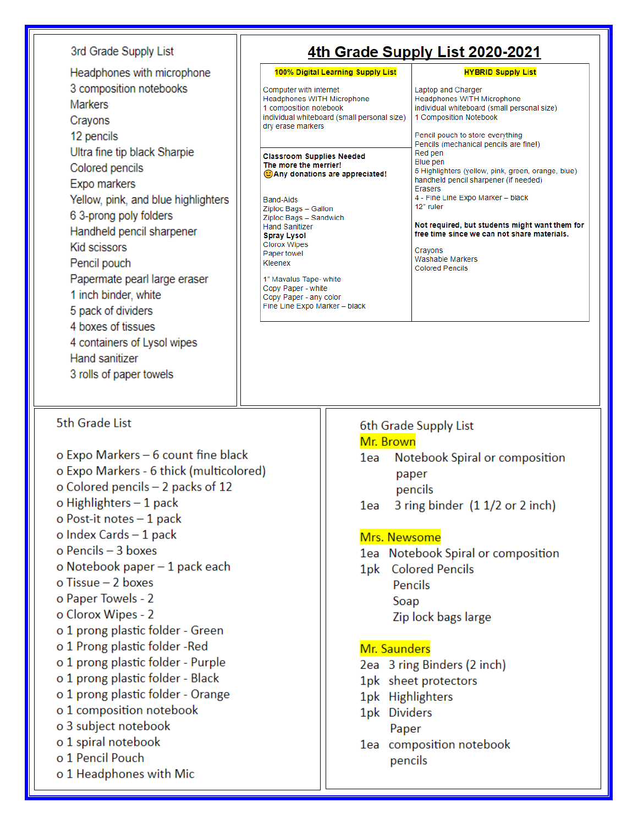#### 3rd Grade Supply List

Headphones with microphone 3 composition notebooks **Markers** Crayons 12 pencils Ultra fine tip black Sharpie Colored pencils Expo markers Yellow, pink, and blue highlighters 6 3-prong poly folders Handheld pencil sharpener Kid scissors Pencil pouch Papermate pearl large eraser 1 inch binder, white 5 pack of dividers 4 boxes of tissues 4 containers of Lysol wipes Hand sanitizer 3 rolls of paper towels

# 4th Grade Supply List 2020-2021

Laptop and Charger

1 Composition Notebook

Headphones WITH Microphone

individual whiteboard (small personal size)

#### 100% Digital Learning Supply List

Computer with internet Headphones WITH Microphone 1 composition notebook individual whiteboard (small personal size) dry erase markers

**Classroom Supplies Needed** The more the merrier! CAny donations are appreciated!

**Band-Aids** Ziploc Bags - Gallon Ziploc Bags - Sandwich **Hand Sanitizer Spray Lysol Clorox Wipes** Paper towel Kleenex

1" Mavalus Tape- white Copy Paper - white Copy Paper - any color Fine Line Expo Marker - black Pencil pouch to store everything Pencils (mechanical pencils are fine!) Red pen **Blue** pen 5 Highlighters (yellow, pink, green, orange, blue) handheld pencil sharpener (if needed) Erasers 4 - Fine Line Expo Marker - black 12" ruler

**HYBRID Supply List** 

Not required, but students might want them for free time since we can not share materials.

Cravons Washable Markers **Colored Pencils** 

#### 5th Grade List

o Expo Markers - 6 count fine black o Expo Markers - 6 thick (multicolored) o Colored pencils - 2 packs of 12 o Highlighters  $-1$  pack o Post-it notes - 1 pack o Index Cards  $-1$  pack o Pencils - 3 boxes o Notebook paper - 1 pack each  $o$  Tissue  $-$  2 boxes o Paper Towels - 2 o Clorox Wipes - 2 o 1 prong plastic folder - Green o 1 Prong plastic folder -Red o 1 prong plastic folder - Purple o 1 prong plastic folder - Black o 1 prong plastic folder - Orange o 1 composition notebook o 3 subject notebook o 1 spiral notebook o 1 Pencil Pouch o 1 Headphones with Mic

#### 6th Grade Supply List

#### Mr. Brown

- 1ea Notebook Spiral or composition paper pencils
- 3 ring binder (1 1/2 or 2 inch) 1ea

#### Mrs. Newsome

- 1ea Notebook Spiral or composition
- 1pk Colored Pencils Pencils Soap Zip lock bags large

### Mr. Saunders

- 2ea 3 ring Binders (2 inch)
- 1pk sheet protectors
- 1pk Highlighters
- 1pk Dividers Paper
- 1ea composition notebook pencils